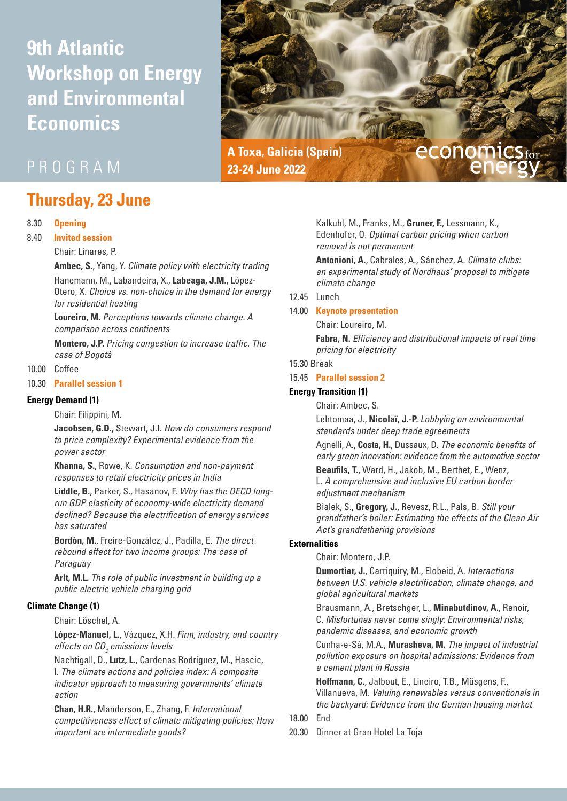# **9th Atlantic Workshop on Energy and Environmental Economics**



# PROGRAM

# **Thursday, 23 June**

#### 8.30 **Opening**

#### 8.40 **Invited session**

Chair: Linares, P.

**Ambec, S.**, Yang, Y. *Climate policy with electricity trading*

Hanemann, M., Labandeira, X., **Labeaga, J.M.,** López-Otero, X. *Choice vs. non-choice in the demand for energy for residential heating* 

**Loureiro, M.** *Perceptions towards climate change. A comparison across continents*

**Montero, J.P.** *Pricing congestion to increase traffic. The case of Bogotá*

### 10.00 Coffee

# 10.30 **Parallel session 1**

#### **Energy Demand (1)**

Chair: Filippini, M.

**Jacobsen, G.D.**, Stewart, J.I. *How do consumers respond to price complexity? Experimental evidence from the power sector*

**Khanna, S.**, Rowe, K. *Consumption and non-payment responses to retail electricity prices in India*

**Liddle, B.**, Parker, S., Hasanov, F. *Why has the OECD longrun GDP elasticity of economy-wide electricity demand declined? Because the electrification of energy services has saturated*

**Bordón, M.**, Freire-González, J., Padilla, E. *The direct rebound effect for two income groups: The case of Paraguay*

**Arlt, M.L.** *The role of public investment in building up a public electric vehicle charging grid*

#### **Climate Change (1)**

Chair: Löschel, A.

**López-Manuel, L.**, Vázquez, X.H. *Firm, industry, and country effects on CO2 emissions levels*

Nachtigall, D., **Lutz, L.,** Cardenas Rodriguez, M., Hascic, I. *The climate actions and policies index: A composite indicator approach to measuring governments' climate action*

**Chan, H.R.**, Manderson, E., Zhang, F. *International competitiveness effect of climate mitigating policies: How important are intermediate goods?*

Kalkuhl, M., Franks, M., **Gruner, F.**, Lessmann, K., Edenhofer, O. *Optimal carbon pricing when carbon removal is not permanent*

**Antonioni, A.**, Cabrales, A., Sánchez, A. *Climate clubs: an experimental study of Nordhaus' proposal to mitigate climate change*

#### 12.45 Lunch

#### 14.00 **Keynote presentation**

Chair: Loureiro, M.

**Fabra, N.** *Efficiency and distributional impacts of real time pricing for electricity*

#### 15.30 Break

#### 15.45 **Parallel session 2**

#### **Energy Transition (1)**

Chair: Ambec, S.

Lehtomaa, J., **Nicolaï, J.-P.** *Lobbying on environmental standards under deep trade agreements*

Agnelli, A., **Costa, H.**, Dussaux, D. *The economic benefits of early green innovation: evidence from the automotive sector*

**Beaufils, T.**, Ward, H., Jakob, M., Berthet, E., Wenz, L. *A comprehensive and inclusive EU carbon border adjustment mechanism*

Bialek, S., **Gregory, J.**, Revesz, R.L., Pals, B. *Still your grandfather's boiler: Estimating the effects of the Clean Air Act's grandfathering provisions*

#### **Externalities**

Chair: Montero, J.P.

**Dumortier, J.**, Carriquiry, M., Elobeid, A. *Interactions between U.S. vehicle electrification, climate change, and global agricultural markets*

Brausmann, A., Bretschger, L., **Minabutdinov, A.**, Renoir, C. *Misfortunes never come singly: Environmental risks, pandemic diseases, and economic growth*

Cunha-e-Sá, M.A., **Murasheva, M.** *The impact of industrial pollution exposure on hospital admissions: Evidence from a cement plant in Russia*

**Hoffmann, C.**, Jalbout, E., Lineiro, T.B., Müsgens, F., Villanueva, M. *Valuing renewables versus conventionals in the backyard: Evidence from the German housing market*

# 18.00 End

20.30 Dinner at Gran Hotel La Toja